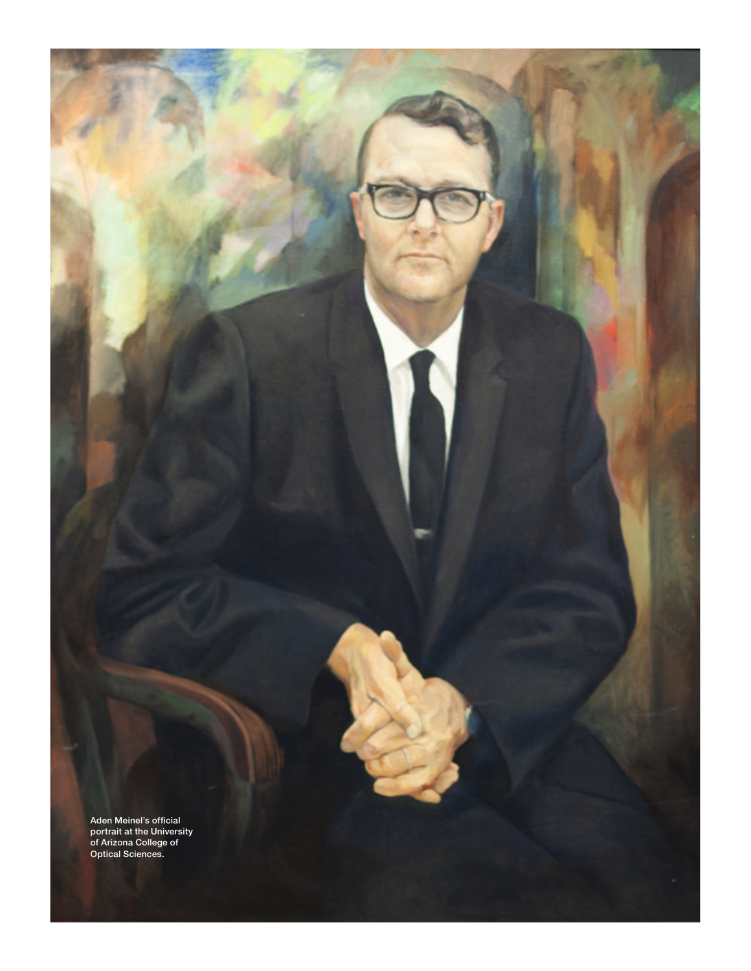Aden Meinel's official portrait at the University of Arizona College of Optical Sciences.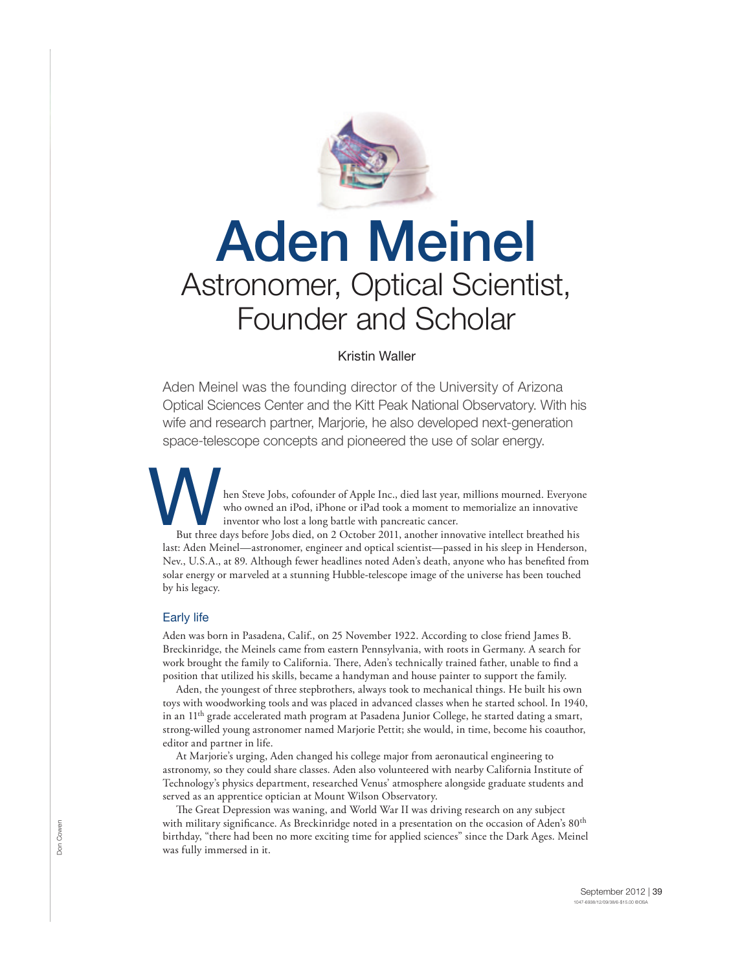

# Aden Meinel Astronomer, Optical Scientist, Founder and Scholar

# Kristin Waller

Aden Meinel was the founding director of the University of Arizona Optical Sciences Center and the Kitt Peak National Observatory. With his wife and research partner, Marjorie, he also developed next-generation space-telescope concepts and pioneered the use of solar energy.

hen Steve Jobs, cofounder of Apple Inc., died last year, millions mourned. Everyone who owned an iPod, iPhone or iPad took a moment to memorialize an innovative inventor who lost a long battle with pancreatic cancer. But three of

But three days before Jobs died, on 2 October 2011, another innovative intellect breathed his last: Aden Meinel—astronomer, engineer and optical scientist—passed in his sleep in Henderson, Nev., U.S.A., at 89. Although fewer headlines noted Aden's death, anyone who has benefited from solar energy or marveled at a stunning Hubble-telescope image of the universe has been touched by his legacy.

## Early life

Aden was born in Pasadena, Calif., on 25 November 1922. According to close friend James B. Breckinridge, the Meinels came from eastern Pennsylvania, with roots in Germany. A search for work brought the family to California. There, Aden's technically trained father, unable to find a position that utilized his skills, became a handyman and house painter to support the family.

Aden, the youngest of three stepbrothers, always took to mechanical things. He built his own toys with woodworking tools and was placed in advanced classes when he started school. In 1940, in an 11<sup>th</sup> grade accelerated math program at Pasadena Junior College, he started dating a smart, strong-willed young astronomer named Marjorie Pettit; she would, in time, become his coauthor, editor and partner in life.

At Marjorie's urging, Aden changed his college major from aeronautical engineering to astronomy, so they could share classes. Aden also volunteered with nearby California Institute of Technology's physics department, researched Venus' atmosphere alongside graduate students and served as an apprentice optician at Mount Wilson Observatory.

The Great Depression was waning, and World War II was driving research on any subject with military significance. As Breckinridge noted in a presentation on the occasion of Aden's 80<sup>th</sup> birthday, "there had been no more exciting time for applied sciences" since the Dark Ages. Meinel was fully immersed in it.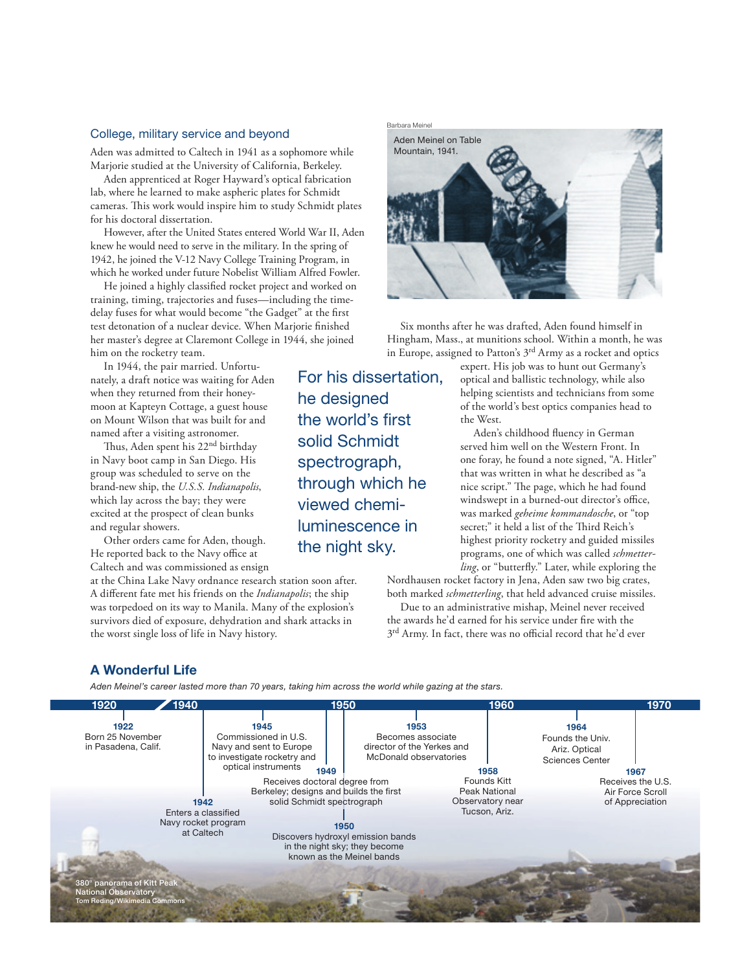# College, military service and beyond

Aden was admitted to Caltech in 1941 as a sophomore while Marjorie studied at the University of California, Berkeley.

Aden apprenticed at Roger Hayward's optical fabrication lab, where he learned to make aspheric plates for Schmidt cameras. This work would inspire him to study Schmidt plates for his doctoral dissertation.

However, after the United States entered World War II, Aden knew he would need to serve in the military. In the spring of 1942, he joined the V-12 Navy College Training Program, in which he worked under future Nobelist William Alfred Fowler.

He joined a highly classified rocket project and worked on training, timing, trajectories and fuses—including the timedelay fuses for what would become "the Gadget" at the first test detonation of a nuclear device. When Marjorie finished her master's degree at Claremont College in 1944, she joined him on the rocketry team.

In 1944, the pair married. Unfortunately, a draft notice was waiting for Aden when they returned from their honeymoon at Kapteyn Cottage, a guest house on Mount Wilson that was built for and named after a visiting astronomer.

Thus, Aden spent his 22<sup>nd</sup> birthday in Navy boot camp in San Diego. His group was scheduled to serve on the brand-new ship, the *U.S.S. Indianapolis*, which lay across the bay; they were excited at the prospect of clean bunks and regular showers.

Other orders came for Aden, though. He reported back to the Navy office at Caltech and was commissioned as ensign

at the China Lake Navy ordnance research station soon after. A different fate met his friends on the *Indianapolis*; the ship was torpedoed on its way to Manila. Many of the explosion's survivors died of exposure, dehydration and shark attacks in the worst single loss of life in Navy history.

Barbara Meinel Aden Meinel on Table Mountain, 1941.

Six months after he was drafted, Aden found himself in Hingham, Mass., at munitions school. Within a month, he was in Europe, assigned to Patton's 3rd Army as a rocket and optics

> expert. His job was to hunt out Germany's optical and ballistic technology, while also helping scientists and technicians from some of the world's best optics companies head to the West.

> Aden's childhood fluency in German served him well on the Western Front. In one foray, he found a note signed, "A. Hitler" that was written in what he described as "a nice script." The page, which he had found windswept in a burned-out director's office, was marked *geheime kommandosche*, or "top secret;" it held a list of the Third Reich's highest priority rocketry and guided missiles programs, one of which was called *schmetterling*, or "butterfly." Later, while exploring the

Nordhausen rocket factory in Jena, Aden saw two big crates, both marked *schmetterling*, that held advanced cruise missiles. Due to an administrative mishap, Meinel never received

the awards he'd earned for his service under fire with the 3<sup>rd</sup> Army. In fact, there was no official record that he'd ever

# A Wonderful Life

Aden Meinel's career lasted more than 70 years, taking him across the world while gazing at the stars.



For his dissertation, he designed the world's first solid Schmidt spectrograph, through which he viewed chemiluminescence in the night sky.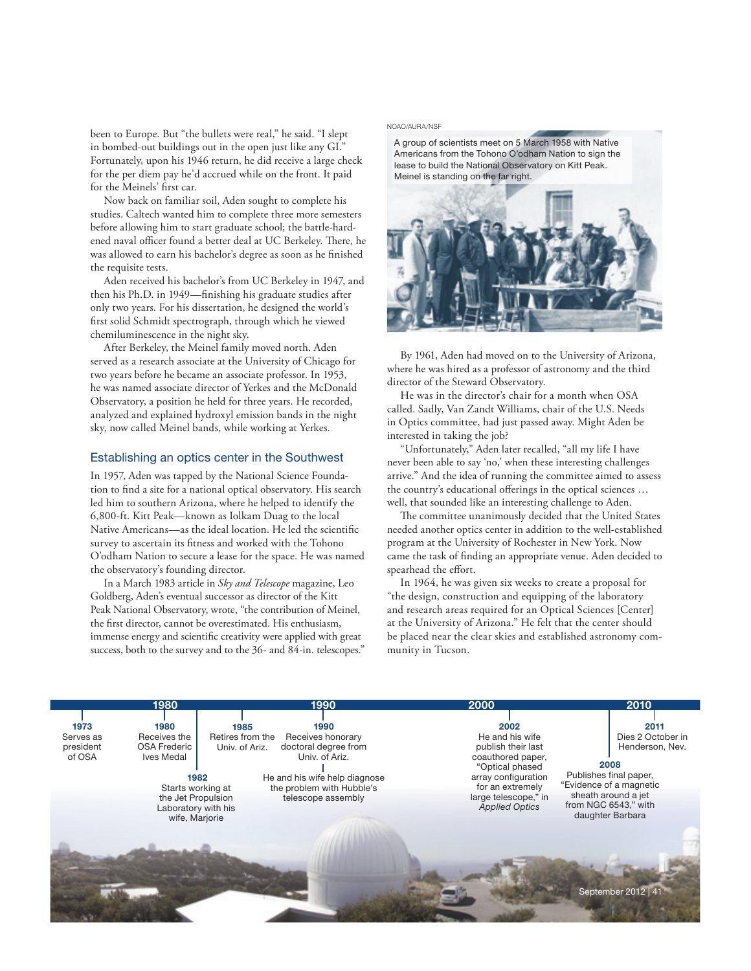been to Europe. But "the bullets were real," he said. "I slept in bombed-out buildings out in the open just like any GI." Fortunately, upon his 1946 return, he did receive a large check for the per diem pay he'd accrued while on the front. It paid for the Meinels' first car.

Now back on familiar soil, Aden sought to complete his studies. Caltech wanted him to complete three more semesters before allowing him to start graduate school; the battle-hardened naval officer found a better deal at UC Berkeley. There, he was allowed to earn his bachelor's degree as soon as he finished the requisite tests.

Aden received his bachelor's from UC Berkeley in 1947, and then his Ph.D. in 1949—finishing his graduate studies after only two years. For his dissertation, he designed the world's first solid Schmidt spectrograph, through which he viewed chemiluminescence in the night sky.

After Berkeley, the Meinel family moved north. Aden served as a research associate at the University of Chicago for two years before he became an associate professor. In 1953, he was named associate director of Yerkes and the McDonald Observatory, a position he held for three years. He recorded, analyzed and explained hydroxyl emission bands in the night sky, now called Meinel bands, while working at Yerkes.

## Establishing an optics center in the Southwest

In 1957, Aden was tapped by the National Science Foundation to find a site for a national optical observatory. His search led him to southern Arizona, where he helped to identify the 6,800-ft. Kitt Peak—known as Iolkam Duag to the local Native Americans—as the ideal location. He led the scientific survey to ascertain its fitness and worked with the Tohono O'odham Nation to secure a lease for the space. He was named the observatory's founding director.

In a March 1983 article in *Sky and Telescope* magazine, Leo Goldberg, Aden's eventual successor as director of the Kitt Peak National Observatory, wrote, "the contribution of Meinel, the first director, cannot be overestimated. His enthusiasm, immense energy and scientific creativity were applied with great success, both to the survey and to the 36- and 84-in. telescopes."

#### NOAO/AURA/NSF

A group of scientists meet on 5 March 1958 with Native Americans from the Tohono O'odham Nation to sign the lease to build the National Observatory on Kitt Peak. Meinel is standing on the far right.



By 1961, Aden had moved on to the University of Arizona, where he was hired as a professor of astronomy and the third director of the Steward Observatory.

He was in the director's chair for a month when OSA called. Sadly, Van Zandt Williams, chair of the U.S. Needs in Optics committee, had just passed away. Might Aden be interested in taking the job?

"Unfortunately," Aden later recalled, "all my life I have never been able to say 'no,' when these interesting challenges arrive." And the idea of running the committee aimed to assess the country's educational offerings in the optical sciences ... well, that sounded like an interesting challenge to Aden.

The committee unanimously decided that the United States needed another optics center in addition to the well-established program at the University of Rochester in New York. Now came the task of finding an appropriate venue. Aden decided to spearhead the effort.

In 1964, he was given six weeks to create a proposal for "the design, construction and equipping of the laboratory and research areas required for an Optical Sciences [Center] at the University of Arizona." He felt that the center should be placed near the clear skies and established astronomy community in Tucson.

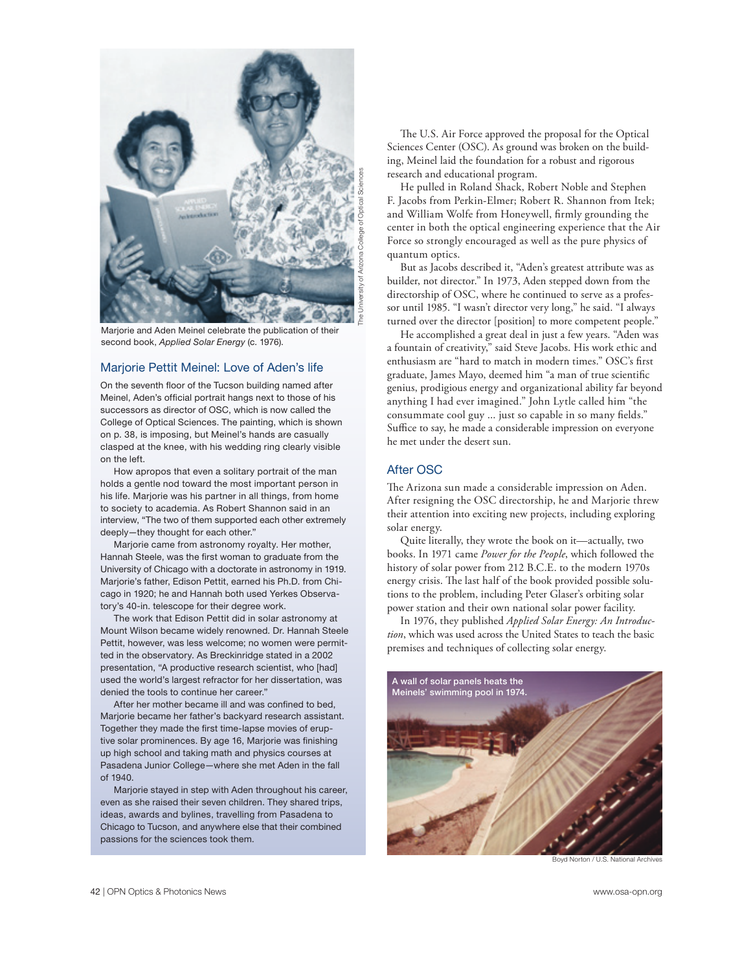

Marjorie and Aden Meinel celebrate the publication of their second book, Applied Solar Energy (c. 1976).

## Marjorie Pettit Meinel: Love of Aden's life

On the seventh floor of the Tucson building named after Meinel, Aden's official portrait hangs next to those of his successors as director of OSC, which is now called the College of Optical Sciences. The painting, which is shown on p. 38, is imposing, but Meinel's hands are casually clasped at the knee, with his wedding ring clearly visible on the left.

How apropos that even a solitary portrait of the man holds a gentle nod toward the most important person in his life. Mariorie was his partner in all things, from home to society to academia. As Robert Shannon said in an interview, "The two of them supported each other extremely deeply—they thought for each other."

Marjorie came from astronomy royalty. Her mother, Hannah Steele, was the first woman to graduate from the University of Chicago with a doctorate in astronomy in 1919. Marjorie's father, Edison Pettit, earned his Ph.D. from Chicago in 1920; he and Hannah both used Yerkes Observatory's 40-in. telescope for their degree work.

The work that Edison Pettit did in solar astronomy at Mount Wilson became widely renowned. Dr. Hannah Steele Pettit, however, was less welcome; no women were permitted in the observatory. As Breckinridge stated in a 2002 presentation, "A productive research scientist, who [had] used the world's largest refractor for her dissertation, was denied the tools to continue her career."

After her mother became ill and was confned to bed, Marjorie became her father's backyard research assistant. Together they made the frst time-lapse movies of eruptive solar prominences. By age 16, Marjorie was finishing up high school and taking math and physics courses at Pasadena Junior College—where she met Aden in the fall of 1940.

Marjorie stayed in step with Aden throughout his career, even as she raised their seven children. They shared trips, ideas, awards and bylines, travelling from Pasadena to Chicago to Tucson, and anywhere else that their combined passions for the sciences took them.

The U.S. Air Force approved the proposal for the Optical Sciences Center (OSC). As ground was broken on the building, Meinel laid the foundation for a robust and rigorous research and educational program.

He pulled in Roland Shack, Robert Noble and Stephen F. Jacobs from Perkin-Elmer; Robert R. Shannon from Itek; and William Wolfe from Honeywell, firmly grounding the center in both the optical engineering experience that the Air Force so strongly encouraged as well as the pure physics of quantum optics.

But as Jacobs described it, "Aden's greatest attribute was as builder, not director." In 1973, Aden stepped down from the directorship of OSC, where he continued to serve as a professor until 1985. "I wasn't director very long," he said. "I always turned over the director [position] to more competent people."

He accomplished a great deal in just a few years. "Aden was a fountain of creativity," said Steve Jacobs. His work ethic and enthusiasm are "hard to match in modern times." OSC's first graduate, James Mayo, deemed him "a man of true scientific genius, prodigious energy and organizational ability far beyond anything I had ever imagined." John Lytle called him "the consummate cool guy ... just so capable in so many fields." Suffice to say, he made a considerable impression on everyone he met under the desert sun.

## After OSC

The Arizona sun made a considerable impression on Aden. After resigning the OSC directorship, he and Marjorie threw their attention into exciting new projects, including exploring solar energy.

Quite literally, they wrote the book on it—actually, two books. In 1971 came *Power for the People*, which followed the history of solar power from 212 B.C.E. to the modern 1970s energy crisis. The last half of the book provided possible solutions to the problem, including Peter Glaser's orbiting solar power station and their own national solar power facility.

In 1976, they published *Applied Solar Energy: An Introduction*, which was used across the United States to teach the basic premises and techniques of collecting solar energy.



Boyd Norton / U.S. National Archives